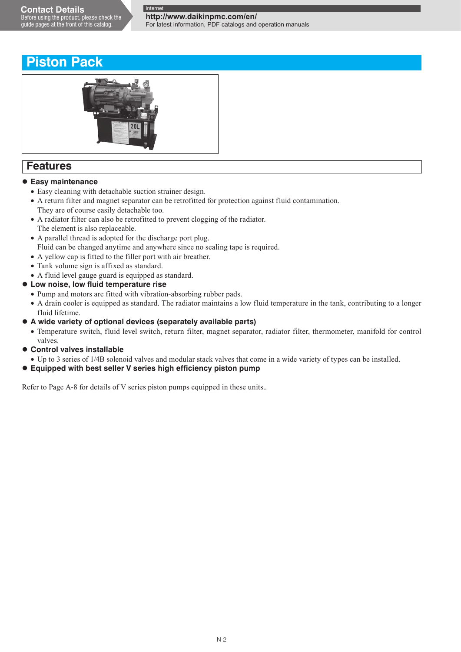**http://www.daikinpmc.com/en/**

For latest information, PDF catalogs and operation manuals

## **Piston Pack**



## **Features**

### **Easy maintenance**

- Easy cleaning with detachable suction strainer design.
- A return filter and magnet separator can be retrofitted for protection against fluid contamination. They are of course easily detachable too.
- A radiator filter can also be retrofitted to prevent clogging of the radiator. The element is also replaceable.
- A parallel thread is adopted for the discharge port plug.
- Fluid can be changed anytime and anywhere since no sealing tape is required.
- A yellow cap is fitted to the filler port with air breather.
- Tank volume sign is affixed as standard.
- A fluid level gauge guard is equipped as standard.
- **Low noise, low fluid temperature rise**
	- Pump and motors are fitted with vibration-absorbing rubber pads.
	- A drain cooler is equipped as standard. The radiator maintains a low fluid temperature in the tank, contributing to a longer fluid lifetime.
- **A wide variety of optional devices (separately available parts)**
	- Temperature switch, fluid level switch, return filter, magnet separator, radiator filter, thermometer, manifold for control valves.
- **Control valves installable**
- Up to 3 series of 1/4B solenoid valves and modular stack valves that come in a wide variety of types can be installed.
- **Equipped with best seller V series high efficiency piston pump**

Refer to Page A-8 for details of V series piston pumps equipped in these units..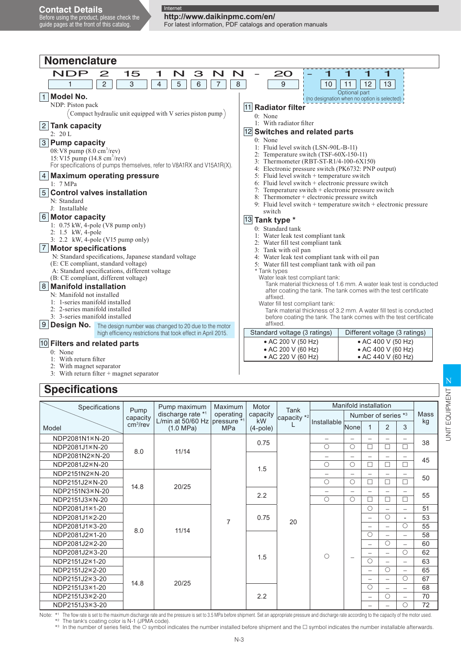**http://www.daikinpmc.com/en/** For latest information, PDF catalogs and operation manuals

| <b>Nomenclature</b>                                                                                                                                                                                                                                                                                                                                                                                                                                                                                                        |                                                                                                                                                                                                                                                                                                                                                                                                                                                                                                                                                                                                                                                     |  |  |  |  |  |  |
|----------------------------------------------------------------------------------------------------------------------------------------------------------------------------------------------------------------------------------------------------------------------------------------------------------------------------------------------------------------------------------------------------------------------------------------------------------------------------------------------------------------------------|-----------------------------------------------------------------------------------------------------------------------------------------------------------------------------------------------------------------------------------------------------------------------------------------------------------------------------------------------------------------------------------------------------------------------------------------------------------------------------------------------------------------------------------------------------------------------------------------------------------------------------------------------------|--|--|--|--|--|--|
| <b>NDP</b><br>15<br>1<br>3<br>N<br>2<br>N<br>$\overline{4}$<br>5<br>6<br>$\overline{7}$<br>$\overline{2}$<br>3<br>1                                                                                                                                                                                                                                                                                                                                                                                                        | N<br>20<br>8<br>9<br>13<br>10<br>11<br>12                                                                                                                                                                                                                                                                                                                                                                                                                                                                                                                                                                                                           |  |  |  |  |  |  |
| <b>Model No.</b><br>$\mathbf{1}$<br>NDP: Piston pack<br>Compact hydraulic unit equipped with V series piston pump)<br>2 Tank capacity<br>2: 20 L<br>3 Pump capacity<br>08: V8 pump $(8.0 \text{ cm}^3/\text{rev})$<br>15: V15 pump (14.8 cm <sup>3</sup> /rev)<br>For specifications of pumps themselves, refer to V8A1RX and V15A1R(X).<br><b>Maximum operating pressure</b><br>1: $7 MPa$<br><b>Control valves installation</b><br>5<br>N: Standard<br>J: Installable                                                    | Optional part<br>(no designation when no option is selected)<br>11 Radiator filter<br>$0:$ None<br>1: With radiator filter<br>12 Switches and related parts<br>$0:$ None<br>1: Fluid level switch (LSN-90L-B-11)<br>2: Temperature switch (TSF-60X-150-11)<br>3: Thermometer (RBT-ST-R1/4-100-6X150)<br>4: Electronic pressure switch (PK6732: PNP output)<br>5: Fluid level switch + temperature switch<br>6: Fluid level switch + electronic pressure switch<br>7. Temperature switch + electronic pressure switch<br>8: Thermometer + electronic pressure switch<br>9. Fluid level switch $+$ temperature switch $+$ electronic pressure         |  |  |  |  |  |  |
| 6 Motor capacity<br>1: 0.75 kW, 4-pole (V8 pump only)<br>2: 1.5 kW, 4-pole<br>3: 2.2 kW, 4-pole (V15 pump only)<br><b>Motor specifications</b><br>7<br>N: Standard specifications, Japanese standard voltage<br>(E: CE compliant, standard voltage)<br>A: Standard specifications, different voltage<br>(B: CE compliant, different voltage)<br>8 Manifold installation<br>N: Manifold not installed<br>1: 1-series manifold installed<br>2: 2-series manifold installed<br>3: 3-series manifold installed<br>9 Design No. | switch<br>13 Tank type *<br>0: Standard tank<br>1: Water leak test compliant tank<br>2: Water fill test compliant tank<br>3: Tank with oil pan<br>4: Water leak test compliant tank with oil pan<br>5: Water fill test compliant tank with oil pan<br>* Tank types<br>Water leak test compliant tank:<br>Tank material thickness of 1.6 mm. A water leak test is conducted<br>after coating the tank. The tank comes with the test certificate<br>affixed.<br>Water fill test compliant tank:<br>Tank material thickness of 3.2 mm. A water fill test is conducted<br>before coating the tank. The tank comes with the test certificate<br>affixed. |  |  |  |  |  |  |
| The design number was changed to 20 due to the motor<br>high efficiency restrictions that took effect in April 2015.                                                                                                                                                                                                                                                                                                                                                                                                       | Standard voltage (3 ratings)<br>Different voltage (3 ratings)                                                                                                                                                                                                                                                                                                                                                                                                                                                                                                                                                                                       |  |  |  |  |  |  |
| 10 Filters and related parts<br>$0:$ None<br>1: With return filter<br>2: With magnet separator<br>$3:$ With return filter $+$ magnet senarator                                                                                                                                                                                                                                                                                                                                                                             | • AC 200 V (50 Hz)<br>• AC 400 V (50 Hz)<br>• AC 200 V (60 Hz)<br>• AC 400 V (60 Hz)<br>• AC 220 V (60 Hz)<br>• AC 440 V (60 Hz)                                                                                                                                                                                                                                                                                                                                                                                                                                                                                                                    |  |  |  |  |  |  |

## **Specifications**

3: With return filter + magnet separator

| Pump maximum<br>Motor<br>Specifications<br>Maximum |                      |                                                                 |                |                                          |    |                          |                          |                          | Manifold installation    |                          |    |   |   |                          |    |
|----------------------------------------------------|----------------------|-----------------------------------------------------------------|----------------|------------------------------------------|----|--------------------------|--------------------------|--------------------------|--------------------------|--------------------------|----|---|---|--------------------------|----|
|                                                    | Pump<br>capacity     | discharge rate *1<br>operating<br>L/min at 50/60 Hz pressure *1 |                | <b>Tank</b><br>capacity<br>capacity $*2$ |    |                          | Number of series *3      | Mass                     |                          |                          |    |   |   |                          |    |
| Model                                              | cm <sup>3</sup> /rev | (1.0 MPa)                                                       | <b>MPa</b>     | kW<br>$(4-pole)$                         |    | Installable              | None                     |                          | $\overline{2}$           | 3                        | kg |   |   |                          |    |
| NDP2081N1*N-20                                     |                      |                                                                 |                | 0.75                                     |    | $\overline{\phantom{0}}$ | $\overline{\phantom{0}}$ |                          |                          | $\overline{\phantom{0}}$ | 38 |   |   |                          |    |
| NDP2081J1*N-20                                     | 8.0                  | 11/14                                                           |                |                                          |    | $\bigcirc$               | $\circ$                  | $\Box$                   | П                        | $\Box$                   |    |   |   |                          |    |
| NDP2081N2*N-20                                     |                      |                                                                 |                |                                          |    |                          | -                        |                          |                          | -                        | 45 |   |   |                          |    |
| NDP2081J2*N-20                                     |                      |                                                                 |                | 1.5                                      |    | $\bigcirc$               | О                        | П                        | □                        | П                        |    |   |   |                          |    |
| NDP2151N2*N-20                                     |                      |                                                                 |                |                                          |    |                          |                          | —                        | -                        | $\overline{\phantom{0}}$ | 50 |   |   |                          |    |
| NDP2151J2*N-20                                     | 14.8                 | 20/25                                                           |                |                                          |    | $\bigcirc$               | $\circ$                  | П                        | П                        | П                        |    |   |   |                          |    |
| NDP2151N3*N-20                                     |                      |                                                                 |                | 2.2                                      |    | $-$                      |                          | -                        | $\overline{\phantom{0}}$ | $\overline{\phantom{m}}$ | 55 |   |   |                          |    |
| NDP2151J3*N-20                                     |                      |                                                                 |                |                                          |    | $\bigcirc$               | $\circ$                  | $\Box$                   | П                        | П                        |    |   |   |                          |    |
| NDP2081J1*1-20                                     |                      |                                                                 |                | 0.75                                     | 20 |                          |                          | $\bigcirc$               | $\overline{\phantom{m}}$ | $\overline{\phantom{0}}$ | 51 |   |   |                          |    |
| NDP2081J1*2-20                                     |                      | 11/14                                                           | $\overline{7}$ |                                          |    |                          |                          | -                        | О                        | ۰                        | 53 |   |   |                          |    |
| NDP2081J1 * 3-20                                   |                      |                                                                 |                |                                          |    |                          |                          | —                        |                          | О                        | 55 |   |   |                          |    |
| NDP2081J2*1-20                                     | 8.0                  |                                                                 |                |                                          |    |                          |                          | $\circ$                  | $\overline{\phantom{0}}$ | $\overline{\phantom{0}}$ | 58 |   |   |                          |    |
| NDP2081J2*2-20                                     |                      |                                                                 |                |                                          |    |                          |                          |                          |                          |                          |    | - | О | $\overline{\phantom{0}}$ | 60 |
| NDP2081J2*3-20                                     |                      |                                                                 |                |                                          |    | $\bigcirc$               |                          | $\overline{\phantom{0}}$ | $\overline{\phantom{m}}$ | $\bigcirc$               | 62 |   |   |                          |    |
| NDP2151J2*1-20                                     |                      |                                                                 |                | 1.5                                      |    |                          | -                        | $\bigcirc$               | $\overline{\phantom{0}}$ | $\overline{\phantom{0}}$ | 63 |   |   |                          |    |
| NDP2151J2*2-20                                     |                      |                                                                 |                |                                          |    |                          |                          | $\overline{\phantom{0}}$ | ∩                        | $\overline{\phantom{0}}$ | 65 |   |   |                          |    |
| NDP2151J2*3-20                                     | 14.8                 |                                                                 |                |                                          |    |                          |                          | $\overline{\phantom{0}}$ | $\overline{\phantom{m}}$ | $\bigcirc$               | 67 |   |   |                          |    |
| NDP2151J3*1-20                                     |                      | 20/25                                                           |                |                                          |    |                          |                          | $\bigcirc$               | $\equiv$                 | $\overline{\phantom{0}}$ | 68 |   |   |                          |    |
| NDP2151J3*2-20                                     |                      |                                                                 |                | 2.2                                      |    |                          |                          | $\overline{\phantom{0}}$ | О                        | $\overline{\phantom{0}}$ | 70 |   |   |                          |    |
| NDP2151J3 * 3-20                                   |                      |                                                                 |                |                                          |    |                          |                          | -                        |                          | О                        | 72 |   |   |                          |    |

UNIT EQUIPMENT Z UNIT EQUIPMENT

Note: \*1 The flow rate is set to the maximum discharge rate and the pressure is set to 3.5 MPa before shipment. Set an appropriate pressure and discharge rate according to the capacity of the motor used.<br>\*2 The tank's coa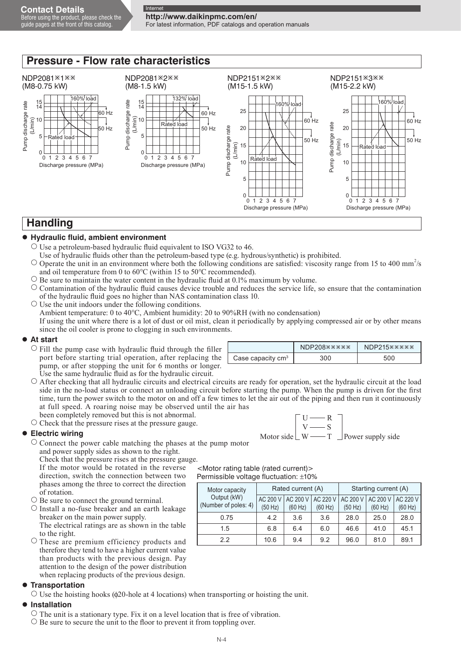**http://www.daikinpmc.com/en/** For latest information, PDF catalogs and operation manuals

#### **Pressure - Flow rate characteristics** NDP2081<sup>\*</sup>1\*\* NDP2081<sup>\*</sup>2\*\* NDP2151<sup>\*</sup>2\*\* NDP2151<sup>\*3\*\*</sup> (M8-0.75 kW) (M8-1.5 kW) (M15-1.5 kW) (M15-2.2 kW) 160% load load 15 15 14 Pump discharge rate Pump discharge rate Pump discharge rate 160% load Pump discharge rate 160% load  $14$ 25 25 60 Hz 60 Hz (L/min) (L/min) 10 10 60 Hz 60 Hz Rated load Pump discharge rate<br>(L/min) Pump discharge rate 50 Hz 50 Hz 20 20 Pump discharge rate Pump discharge rate 5 5 Rated load 50 Hz 50 Hz (L/min) 15 15 Rated load  $\Omega$  $\Omega$ 0 0 2 3 4 5 567 1 234 567 Rated load 10 10 Discharge pressure (MPa) Discharge pressure (MPa) 5 5  $\Omega$  $\Omega$ 0 1 234 567 0 1234 567 Discharge pressure (MPa) Discharge pressure (MPa) **Handling**

### **Hydraulic fluid, ambient environment**

- $\circ$  Use a petroleum-based hydraulic fluid equivalent to ISO VG32 to 46.
- Use of hydraulic fluids other than the petroleum-based type (e.g. hydrous/synthetic) is prohibited.
- $\circ$  Operate the unit in an environment where both the following conditions are satisfied: viscosity range from 15 to 400 mm<sup>2</sup>/s and oil temperature from 0 to 60°C (within 15 to 50°C recommended).
- $\circ$  Be sure to maintain the water content in the hydraulic fluid at 0.1% maximum by volume.
- $\circ$  Contamination of the hydraulic fluid causes device trouble and reduces the service life, so ensure that the contamination of the hydraulic fluid goes no higher than NAS contamination class 10.

O Use the unit indoors under the following conditions.

Ambient temperature: 0 to 40°C, Ambient humidity: 20 to 90%RH (with no condensation)

If using the unit where there is a lot of dust or oil mist, clean it periodically by applying compressed air or by other means since the oil cooler is prone to clogging in such environments.

#### **At start**

- $\circ$  Fill the pump case with hydraulic fluid through the filler port before starting trial operation, after replacing the pump, or after stopping the unit for 6 months or longer. Use the same hydraulic fluid as for the hydraulic circuit.
- $\circ$  After checking that all hydraulic circuits and electrical circuits are ready for operation, set the hydraulic circuit at the load side in the no-load status or connect an unloading circuit before starting the pump. When the pump is driven for the first time, turn the power switch to the motor on and off a few times to let the air out of the piping and then run it continuously at full speed. A roaring noise may be observed until the air has

been completely removed but this is not abnormal.  $\circ$  Check that the pressure rises at the pressure gauge.

### **Electric wiring**

 $\circ$  Connect the power cable matching the phases at the pump motor and power supply sides as shown to the right.

Check that the pressure rises at the pressure gauge.

 If the motor would be rotated in the reverse direction, switch the connection between two phases among the three to correct the direction of rotation.

 $\circ$  Be sure to connect the ground terminal.

 $\circ$  Install a no-fuse breaker and an earth leakage breaker on the main power supply. The electrical ratings are as shown in the table to the right.

O These are premium efficiency products and therefore they tend to have a higher current value than products with the previous design. Pay attention to the design of the power distribution when replacing products of the previous design.

#### **Transportation**

 $\circ$  Use the hoisting hooks ( $\phi$ 20-hole at 4 locations) when transporting or hoisting the unit.

### **Installation**

 $\circ$  The unit is a stationary type. Fix it on a level location that is free of vibration.

 $\circ$  Be sure to secure the unit to the floor to prevent it from toppling over.

| Case capacity $cm3$ |  |
|---------------------|--|
|                     |  |

Motor side  $\perp$  W — T  $\perp$  Power supply side  $U \longrightarrow R$  $V \longrightarrow S$ 

<Motor rating table (rated current)> Permissible voltage fluctuation: ±10%

| Motor capacity                      |                     | Rated current (A)   |                     | Starting current (A) |                     |                     |  |  |  |
|-------------------------------------|---------------------|---------------------|---------------------|----------------------|---------------------|---------------------|--|--|--|
| Output (kW)<br>(Number of poles: 4) | AC 200 V<br>(50 Hz) | AC 200 V<br>(60 Hz) | AC 220 V<br>(60 Hz) | AC 200 V<br>(50 Hz)  | AC 200 V<br>(60 Hz) | AC 220 V<br>(60 Hz) |  |  |  |
| 0.75                                | 4.2                 | 3.6                 | 3.6                 | 28.0                 | 25.0                | 28.0                |  |  |  |
| 1.5                                 | 6.8                 | 6.4                 | 6.0                 | 46.6                 | 41.0                | 45.1                |  |  |  |
| 2.2                                 | 10.6                | 9.4                 | 9.2                 | 96.0                 | 81.0                | 89.1                |  |  |  |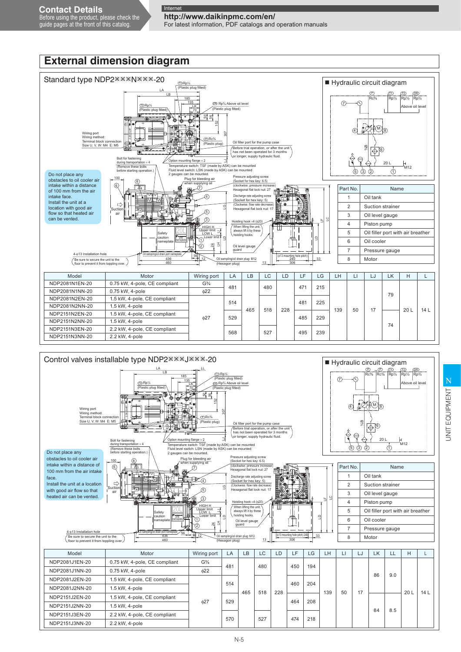Before using the product, please check the guide pages at the front of this catalog.

**http://www.daikinpmc.com/en/** For latest information, PDF catalogs and operation manuals

100 460  $\frac{56}{12}$  $\mathbf 2$ LD **TI** 24 프 4-φ13 Installation hole Be sure to secure the unit to the floor to prevent it from toppling over. ain plug: M12 (Hexagon plug) Oil sampling/oil drain port nameplate 306  $33$ 13 (φ13 mounting hole pitch) ــ LD  $\Xi$ 20L tic plug fi (Plastic plug fitted) T1 Rp½ (Plastic plug) <u>DRc%</u> **OB** Rp<sup>3</sup>/4 A (Plastic plug fitted) T2 Rp½ HIGH H LOW L 1  $\bigcirc$  $\sqrt{5}$  $\circled{3}$ 7 when supplying oil 12. 6 8 Hoisting hook ×4 (φ20) Pressure adjusting screw (Socket for hex key: 6.5) (clockwise: pressure increase) Hexagonal flat lock nut: 27 Discharge rate adjusting screw (Socket for hex key: 5) (Clockwise: flow rate decrease) Hexagonal flat lock nut: 17 ing flange ature switch: TSF (made by ASK) can be mounted Fluid level switch: LSN (made by ASK) can be mounted 2 gauges can be mounted. LJ 307 នា ន 152  $\bigcap$ il filler port for the pump cases the pump cases of the pump cases of  $\bigcap$ LA LB 185 70 135 LK <u>Dr W</u> 2.2kWx4P Do not place any obstacles to oil cooler air intake within a distance of 100 mm from the air intake face. Install the unit at a location with good air flow so that heated air can be vented. Wiring por Wiring method Terminal block connection Size U, V, W: M4 E: M5 Bolt for fastening during transportation  $\times$  4 (Remove these bolts before starting operation.) Suction air Before trial operation, or after the unit has not been operated for 3 months or longer, supply hydraulic fluid. Plug for bleeding air Oil level gauge guard When lifting the unit, always lift it by these hoisting hooks. Upper limit Lower limit Safety caution nameplate Unit nameplate **External dimension diagram** Standard type NDP2\*\*\*N\*\*\*-20 Rp¾ **DF**  $\mathbb{M}_3$  $\widehat{7}$ 6 4 5 (3) (2) (1 Rc⅜ P e oil T2 Rp½ M12 20 L ¾B T1 Rp½ Hydraulic circuit diagram | Part No. | Name Oil tank 2 | Suction strainer 3 Oil level gauge 4 Piston pump 5 Oil filler port with air breather 6 Oil cooler 7 Pressure gauge 8 Motor ic plug fitte T1 Rp½ LA LB 185 LL Control valves installable type NDP2<sup>\*\*\*</sup>J\*\*\*-20  $Rp^3$ DR  $Rc\frac{3}{8}$ Rc⅜ T2 Rp½ T1 Rp½ Hydraulic circuit diagram Model | Motor | Wiring port | LA | LB | LC | LD | LF | LG | LH | LI | LJ | LK | H | L NDP2081N1EN-20 | 0.75 kW, 4-pole, CE compliant | G<sup>3</sup>/4 481 465 480 228 471 215  $139$  50 17 79  $201$  14 L NDP2081N1NN-20 0.75 kW, 4-pole φ22 NDP2081N2EN-20 1.5 kW, 4-pole, CE compliant φ27 514 518 481 225 NDP2081N2NN-20 1.5 kW, 4-pole NDP2151N2EN-20 1.5 kW, 4-pole, CE compliant  $\begin{array}{|c|c|c|c|c|c|c|c|c|} \hline \text{NDP2151N2EN-20} & & 1.5 \text{ kW, 4-pole} \ \hline \text{NDP2151N2NN-20} & & 1.5 \text{ kW, 4-pole} \end{array}$ 74 NDP2151N2NN-20 NDP2151N3EN-20 2.2 kW, 4-pole, CE compliant 568 527 495 239 NDP2151N3NN-20

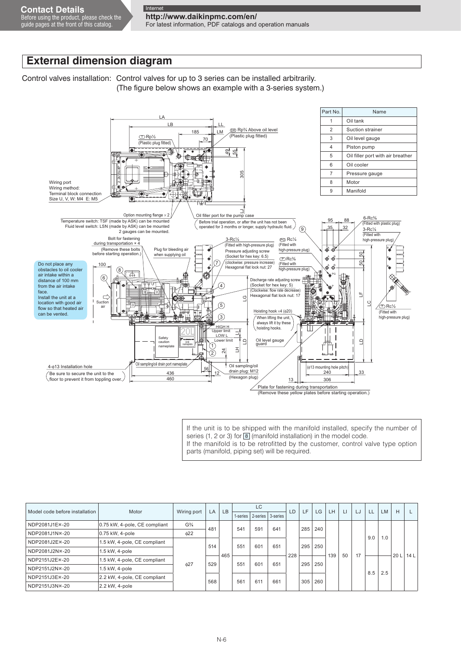**http://www.daikinpmc.com/en/**

For latest information, PDF catalogs and operation manuals

## **External dimension diagram**

Control valves installation: Control valves for up to 3 series can be installed arbitrarily. (The figure below shows an example with a 3-series system.)



If the unit is to be shipped with the manifold installed, specify the number of series (1, 2 or 3) for 8 (manifold installation) in the model code. If the manifold is to be retrofitted by the customer, control valve type option parts (manifold, piping set) will be required.

| Model code before installation | Motor                         | Wiring port                          | LA. | <b>LB</b> | <b>LC</b> |          |          | LD  | LF  | LG  | LH  | $\Box$ | LJ | LL  | <b>LM</b> | H   |     |     |     |     |     |  |     |  |  |     |     |     |  |  |                 |                 |
|--------------------------------|-------------------------------|--------------------------------------|-----|-----------|-----------|----------|----------|-----|-----|-----|-----|--------|----|-----|-----------|-----|-----|-----|-----|-----|-----|--|-----|--|--|-----|-----|-----|--|--|-----------------|-----------------|
|                                |                               |                                      |     |           | 1-series  | 2-series | 3-series |     |     |     |     |        |    |     |           |     |     |     |     |     |     |  |     |  |  |     |     |     |  |  |                 |                 |
| NDP2081J1E*-20                 | 0.75 kW, 4-pole, CE compliant | G <sup>3</sup> / <sub>4</sub><br>481 |     |           | 541       | 591      | 641      |     | 285 | 240 |     |        |    |     |           |     |     |     |     |     |     |  |     |  |  |     |     |     |  |  |                 |                 |
| NDP2081J1N*-20                 | 0.75 kW, 4-pole               | $\phi$ 22                            |     |           |           |          |          |     |     |     |     |        |    |     |           | 9.0 | 1.0 |     |     |     |     |  |     |  |  |     |     |     |  |  |                 |                 |
| NDP2081J2E*-20                 | 1.5 kW, 4-pole, CE compliant  |                                      |     |           | 514       |          | 551      | 601 | 651 |     | 295 | 250    |    |     |           |     |     |     |     |     |     |  |     |  |  |     |     |     |  |  |                 |                 |
| NDP2081J2N %-20                | 1.5 kW, 4-pole                | 627                                  |     |           |           |          |          |     |     |     |     |        |    |     |           |     |     |     | 465 |     |     |  | 228 |  |  | 139 | 50  | 17  |  |  | 20 <sub>L</sub> | 14 <sup>L</sup> |
| NDP2151J2E*-20                 | 1.5 kW, 4-pole, CE compliant  |                                      |     |           |           |          |          |     |     |     |     |        |    | 529 |           | 551 | 601 | 651 |     | 295 | 250 |  |     |  |  |     |     |     |  |  |                 |                 |
| NDP2151J2N %-20                | 1.5 kW, 4-pole                |                                      |     |           |           |          |          |     |     |     |     |        |    |     |           |     |     |     |     |     |     |  |     |  |  |     | 8.5 | 2.5 |  |  |                 |                 |
| NDP2151J3E*-20                 | 2.2 kW, 4-pole, CE compliant  |                                      |     |           |           |          |          | 568 |     | 561 | 611 | 661    |    |     | 260       |     |     |     |     |     |     |  |     |  |  |     |     |     |  |  |                 |                 |
| NDP2151J3N*-20                 | 2.2 kW, 4-pole                |                                      |     |           |           |          |          |     | 305 |     |     |        |    |     |           |     |     |     |     |     |     |  |     |  |  |     |     |     |  |  |                 |                 |